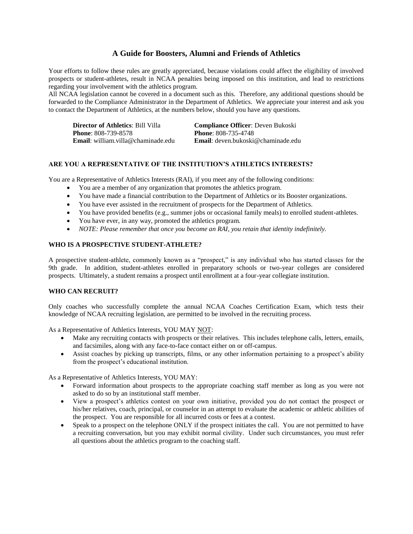# **A Guide for Boosters, Alumni and Friends of Athletics**

Your efforts to follow these rules are greatly appreciated, because violations could affect the eligibility of involved prospects or student-athletes, result in NCAA penalties being imposed on this institution, and lead to restrictions regarding your involvement with the athletics program.

All NCAA legislation cannot be covered in a document such as this. Therefore, any additional questions should be forwarded to the Compliance Administrator in the Department of Athletics. We appreciate your interest and ask you to contact the Department of Athletics, at the numbers below, should you have any questions.

| <b>Director of Athletics</b> : Bill Villa  | <b>Compliance Officer: Deven Bukoski</b>   |
|--------------------------------------------|--------------------------------------------|
| <b>Phone</b> : 808-739-8578                | <b>Phone: 808-735-4748</b>                 |
| <b>Email</b> : william.villa@chaminade.edu | <b>Email</b> : deven.bukoski@chaminade.edu |

### **ARE YOU A REPRESENTATIVE OF THE INSTITUTION'S ATHLETICS INTERESTS?**

You are a Representative of Athletics Interests (RAI), if you meet any of the following conditions:

- You are a member of any organization that promotes the athletics program.
- You have made a financial contribution to the Department of Athletics or its Booster organizations.
- You have ever assisted in the recruitment of prospects for the Department of Athletics.
- You have provided benefits (e.g., summer jobs or occasional family meals) to enrolled student-athletes.
- You have ever, in any way, promoted the athletics program.
- *NOTE: Please remember that once you become an RAI, you retain that identity indefinitely.*

## **WHO IS A PROSPECTIVE STUDENT-ATHLETE?**

A prospective student-athlete, commonly known as a "prospect," is any individual who has started classes for the 9th grade. In addition, student-athletes enrolled in preparatory schools or two-year colleges are considered prospects. Ultimately, a student remains a prospect until enrollment at a four-year collegiate institution.

### **WHO CAN RECRUIT?**

Only coaches who successfully complete the annual NCAA Coaches Certification Exam, which tests their knowledge of NCAA recruiting legislation, are permitted to be involved in the recruiting process.

As a Representative of Athletics Interests, YOU MAY NOT:

- Make any recruiting contacts with prospects or their relatives. This includes telephone calls, letters, emails, and facsimiles, along with any face-to-face contact either on or off-campus.
- Assist coaches by picking up transcripts, films, or any other information pertaining to a prospect's ability from the prospect's educational institution.

As a Representative of Athletics Interests, YOU MAY:

- Forward information about prospects to the appropriate coaching staff member as long as you were not asked to do so by an institutional staff member.
- View a prospect's athletics contest on your own initiative, provided you do not contact the prospect or his/her relatives, coach, principal, or counselor in an attempt to evaluate the academic or athletic abilities of the prospect. You are responsible for all incurred costs or fees at a contest.
- Speak to a prospect on the telephone ONLY if the prospect initiates the call. You are not permitted to have a recruiting conversation, but you may exhibit normal civility. Under such circumstances, you must refer all questions about the athletics program to the coaching staff.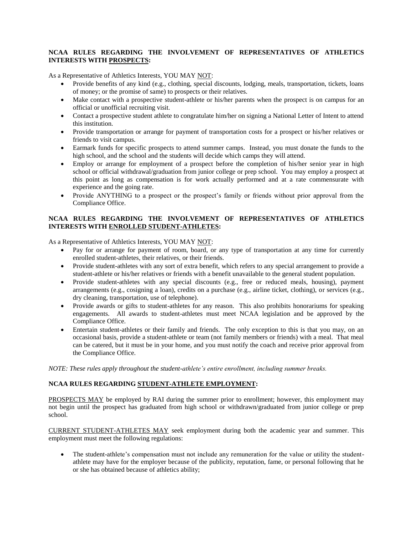# **NCAA RULES REGARDING THE INVOLVEMENT OF REPRESENTATIVES OF ATHLETICS INTERESTS WITH PROSPECTS:**

As a Representative of Athletics Interests, YOU MAY NOT:

- Provide benefits of any kind (e.g., clothing, special discounts, lodging, meals, transportation, tickets, loans of money; or the promise of same) to prospects or their relatives.
- Make contact with a prospective student-athlete or his/her parents when the prospect is on campus for an official or unofficial recruiting visit.
- Contact a prospective student athlete to congratulate him/her on signing a National Letter of Intent to attend this institution.
- Provide transportation or arrange for payment of transportation costs for a prospect or his/her relatives or friends to visit campus.
- Earmark funds for specific prospects to attend summer camps. Instead, you must donate the funds to the high school, and the school and the students will decide which camps they will attend.
- Employ or arrange for employment of a prospect before the completion of his/her senior year in high school or official withdrawal/graduation from junior college or prep school. You may employ a prospect at this point as long as compensation is for work actually performed and at a rate commensurate with experience and the going rate.
- Provide ANYTHING to a prospect or the prospect's family or friends without prior approval from the Compliance Office.

### **NCAA RULES REGARDING THE INVOLVEMENT OF REPRESENTATIVES OF ATHLETICS INTERESTS WITH ENROLLED STUDENT-ATHLETES:**

As a Representative of Athletics Interests, YOU MAY NOT:

- Pay for or arrange for payment of room, board, or any type of transportation at any time for currently enrolled student-athletes, their relatives, or their friends.
- Provide student-athletes with any sort of extra benefit, which refers to any special arrangement to provide a student-athlete or his/her relatives or friends with a benefit unavailable to the general student population.
- Provide student-athletes with any special discounts (e.g., free or reduced meals, housing), payment arrangements (e.g., cosigning a loan), credits on a purchase (e.g., airline ticket, clothing), or services (e.g., dry cleaning, transportation, use of telephone).
- Provide awards or gifts to student-athletes for any reason. This also prohibits honorariums for speaking engagements. All awards to student-athletes must meet NCAA legislation and be approved by the Compliance Office.
- Entertain student-athletes or their family and friends. The only exception to this is that you may, on an occasional basis, provide a student-athlete or team (not family members or friends) with a meal. That meal can be catered, but it must be in your home, and you must notify the coach and receive prior approval from the Compliance Office.

*NOTE: These rules apply throughout the student-athlete's entire enrollment, including summer breaks.* 

### **NCAA RULES REGARDING STUDENT-ATHLETE EMPLOYMENT:**

PROSPECTS MAY be employed by RAI during the summer prior to enrollment; however, this employment may not begin until the prospect has graduated from high school or withdrawn/graduated from junior college or prep school.

CURRENT STUDENT-ATHLETES MAY seek employment during both the academic year and summer. This employment must meet the following regulations:

 The student-athlete's compensation must not include any remuneration for the value or utility the studentathlete may have for the employer because of the publicity, reputation, fame, or personal following that he or she has obtained because of athletics ability;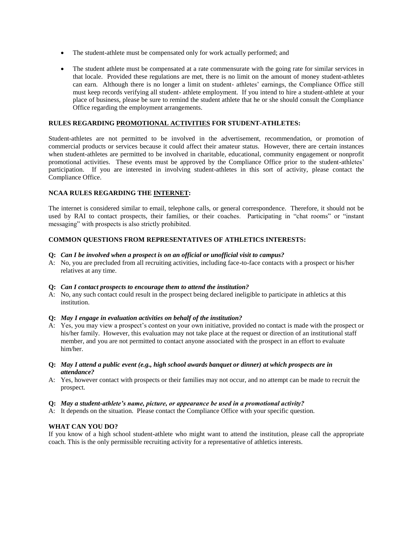- The student-athlete must be compensated only for work actually performed; and
- The student athlete must be compensated at a rate commensurate with the going rate for similar services in that locale. Provided these regulations are met, there is no limit on the amount of money student-athletes can earn. Although there is no longer a limit on student- athletes' earnings, the Compliance Office still must keep records verifying all student- athlete employment. If you intend to hire a student-athlete at your place of business, please be sure to remind the student athlete that he or she should consult the Compliance Office regarding the employment arrangements.

### **RULES REGARDING PROMOTIONAL ACTIVITIES FOR STUDENT-ATHLETES:**

Student-athletes are not permitted to be involved in the advertisement, recommendation, or promotion of commercial products or services because it could affect their amateur status. However, there are certain instances when student-athletes are permitted to be involved in charitable, educational, community engagement or nonprofit promotional activities. These events must be approved by the Compliance Office prior to the student-athletes' participation. If you are interested in involving student-athletes in this sort of activity, please contact the Compliance Office.

### **NCAA RULES REGARDING THE INTERNET:**

The internet is considered similar to email, telephone calls, or general correspondence. Therefore, it should not be used by RAI to contact prospects, their families, or their coaches. Participating in "chat rooms" or "instant messaging" with prospects is also strictly prohibited.

### **COMMON QUESTIONS FROM REPRESENTATIVES OF ATHLETICS INTERESTS:**

#### **Q:** *Can I be involved when a prospect is on an official or unofficial visit to campus?*

A: No, you are precluded from all recruiting activities, including face-to-face contacts with a prospect or his/her relatives at any time.

#### **Q:** *Can I contact prospects to encourage them to attend the institution?*

A: No, any such contact could result in the prospect being declared ineligible to participate in athletics at this institution.

#### **Q:** *May I engage in evaluation activities on behalf of the institution?*

A: Yes, you may view a prospect's contest on your own initiative, provided no contact is made with the prospect or his/her family. However, this evaluation may not take place at the request or direction of an institutional staff member, and you are not permitted to contact anyone associated with the prospect in an effort to evaluate him/her.

#### **Q:** *May I attend a public event (e.g., high school awards banquet or dinner) at which prospects are in attendance?*

A: Yes, however contact with prospects or their families may not occur, and no attempt can be made to recruit the prospect.

#### **Q:** *May a student-athlete's name, picture, or appearance be used in a promotional activity?*

A: It depends on the situation. Please contact the Compliance Office with your specific question.

#### **WHAT CAN YOU DO?**

If you know of a high school student-athlete who might want to attend the institution, please call the appropriate coach. This is the only permissible recruiting activity for a representative of athletics interests.